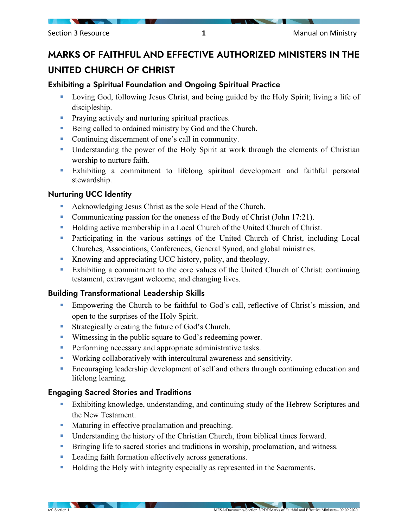# MARKS OF FAITHFUL AND EFFECTIVE AUTHORIZED MINISTERS IN THE UNITED CHURCH OF CHRIST

## Exhibiting a Spiritual Foundation and Ongoing Spiritual Practice

- Loving God, following Jesus Christ, and being guided by the Holy Spirit; living a life of discipleship.
- **Praying actively and nurturing spiritual practices.**
- Being called to ordained ministry by God and the Church.
- Continuing discernment of one's call in community.
- Understanding the power of the Holy Spirit at work through the elements of Christian worship to nurture faith.
- Exhibiting a commitment to lifelong spiritual development and faithful personal stewardship.

#### Nurturing UCC Identity

- Acknowledging Jesus Christ as the sole Head of the Church.
- Communicating passion for the oneness of the Body of Christ (John 17:21).
- Holding active membership in a Local Church of the United Church of Christ.
- Participating in the various settings of the United Church of Christ, including Local Churches, Associations, Conferences, General Synod, and global ministries.
- Knowing and appreciating UCC history, polity, and theology.
- Exhibiting a commitment to the core values of the United Church of Christ: continuing testament, extravagant welcome, and changing lives.

## Building Transformational Leadership Skills

- Empowering the Church to be faithful to God's call, reflective of Christ's mission, and open to the surprises of the Holy Spirit.
- **Strategically creating the future of God's Church.**
- **Witnessing in the public square to God's redeeming power.**
- **Performing necessary and appropriate administrative tasks.**
- Working collaboratively with intercultural awareness and sensitivity.
- Encouraging leadership development of self and others through continuing education and lifelong learning.

## Engaging Sacred Stories and Traditions

- Exhibiting knowledge, understanding, and continuing study of the Hebrew Scriptures and the New Testament.
- **Maturing in effective proclamation and preaching.**
- Understanding the history of the Christian Church, from biblical times forward.
- **Bringing life to sacred stories and traditions in worship, proclamation, and witness.**
- **Leading faith formation effectively across generations.**
- **Holding the Holy with integrity especially as represented in the Sacraments.**